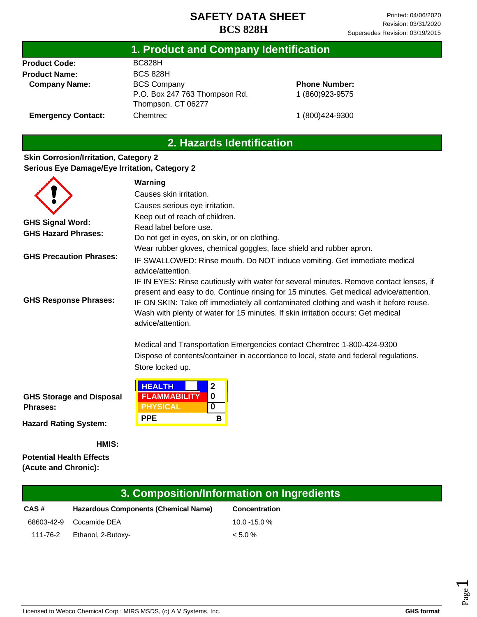## **1. Product and Company Identification**

**Product Code: Product Name: Company Name:** BC828H BCS 828H BCS Company P.O. Box 247 763 Thompson Rd. Thompson, CT 06277 **Chemtrec** 

## **Phone Number:** 1 (860)923-9575

**Emergency Contact:**

1 (800)424-9300

# **2. Hazards Identification**

### **Skin Corrosion/Irritation, Category 2 Serious Eye Damage/Eye Irritation, Category 2**

|                                                       | Warning                                                                                                                                                                                                                                                                                                                                                                           |  |  |  |  |  |
|-------------------------------------------------------|-----------------------------------------------------------------------------------------------------------------------------------------------------------------------------------------------------------------------------------------------------------------------------------------------------------------------------------------------------------------------------------|--|--|--|--|--|
|                                                       | Causes skin irritation.                                                                                                                                                                                                                                                                                                                                                           |  |  |  |  |  |
|                                                       | Causes serious eye irritation.                                                                                                                                                                                                                                                                                                                                                    |  |  |  |  |  |
| <b>GHS Signal Word:</b><br><b>GHS Hazard Phrases:</b> | Keep out of reach of children.<br>Read label before use.<br>Do not get in eyes, on skin, or on clothing.                                                                                                                                                                                                                                                                          |  |  |  |  |  |
| <b>GHS Precaution Phrases:</b>                        | Wear rubber gloves, chemical goggles, face shield and rubber apron.<br>IF SWALLOWED: Rinse mouth. Do NOT induce vomiting. Get immediate medical<br>advice/attention.                                                                                                                                                                                                              |  |  |  |  |  |
| <b>GHS Response Phrases:</b>                          | IF IN EYES: Rinse cautiously with water for several minutes. Remove contact lenses, if<br>present and easy to do. Continue rinsing for 15 minutes. Get medical advice/attention.<br>IF ON SKIN: Take off immediately all contaminated clothing and wash it before reuse.<br>Wash with plenty of water for 15 minutes. If skin irritation occurs: Get medical<br>advice/attention. |  |  |  |  |  |
|                                                       | Medical and Transportation Emergencies contact Chemtrec 1-800-424-9300<br>Dispose of contents/container in accordance to local, state and federal regulations.<br>Store locked up.                                                                                                                                                                                                |  |  |  |  |  |
| <b>GHS Storage and Disposal</b><br>Phrases:           | <b>HEALTH</b><br>2<br><b>FLAMMABILITY</b><br>0<br><b>PHYSICAL</b><br>0<br><b>PPE</b><br>B                                                                                                                                                                                                                                                                                         |  |  |  |  |  |
| Hazard Dating Cuctams                                 |                                                                                                                                                                                                                                                                                                                                                                                   |  |  |  |  |  |

**Hazard Rating System:**

**HMIS:**

**Potential Health Effects (Acute and Chronic):**

| 3. Composition/Information on Ingredients |                                             |                      |  |  |
|-------------------------------------------|---------------------------------------------|----------------------|--|--|
| CAS#                                      | <b>Hazardous Components (Chemical Name)</b> | <b>Concentration</b> |  |  |
| 68603-42-9                                | Cocamide DEA                                | $10.0 - 15.0 %$      |  |  |
| 111-76-2                                  | Ethanol, 2-Butoxy-                          | $< 5.0 \%$           |  |  |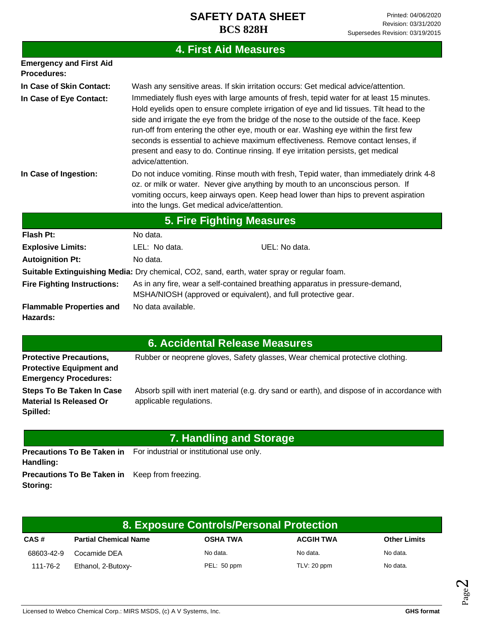# **4. First Aid Measures**

| <b>Emergency and First Aid</b><br><b>Procedures:</b>                                       |                                                                                                                                                                                                                                                                                                                                                                                                                                                                                                                                                                     |  |  |  |
|--------------------------------------------------------------------------------------------|---------------------------------------------------------------------------------------------------------------------------------------------------------------------------------------------------------------------------------------------------------------------------------------------------------------------------------------------------------------------------------------------------------------------------------------------------------------------------------------------------------------------------------------------------------------------|--|--|--|
| In Case of Skin Contact:                                                                   | Wash any sensitive areas. If skin irritation occurs: Get medical advice/attention.                                                                                                                                                                                                                                                                                                                                                                                                                                                                                  |  |  |  |
| In Case of Eye Contact:                                                                    | Immediately flush eyes with large amounts of fresh, tepid water for at least 15 minutes.<br>Hold eyelids open to ensure complete irrigation of eye and lid tissues. Tilt head to the<br>side and irrigate the eye from the bridge of the nose to the outside of the face. Keep<br>run-off from entering the other eye, mouth or ear. Washing eye within the first few<br>seconds is essential to achieve maximum effectiveness. Remove contact lenses, if<br>present and easy to do. Continue rinsing. If eye irritation persists, get medical<br>advice/attention. |  |  |  |
| In Case of Ingestion:                                                                      | Do not induce vomiting. Rinse mouth with fresh, Tepid water, than immediately drink 4-8<br>oz. or milk or water. Never give anything by mouth to an unconscious person. If<br>vomiting occurs, keep airways open. Keep head lower than hips to prevent aspiration<br>into the lungs. Get medical advice/attention.                                                                                                                                                                                                                                                  |  |  |  |
|                                                                                            | 5. Fire Fighting Measures                                                                                                                                                                                                                                                                                                                                                                                                                                                                                                                                           |  |  |  |
| Flash Pt:                                                                                  | No data.                                                                                                                                                                                                                                                                                                                                                                                                                                                                                                                                                            |  |  |  |
| <b>Explosive Limits:</b>                                                                   | UEL: No data.<br>LEL: No data.                                                                                                                                                                                                                                                                                                                                                                                                                                                                                                                                      |  |  |  |
| <b>Autoignition Pt:</b>                                                                    | No data.                                                                                                                                                                                                                                                                                                                                                                                                                                                                                                                                                            |  |  |  |
| Suitable Extinguishing Media: Dry chemical, CO2, sand, earth, water spray or regular foam. |                                                                                                                                                                                                                                                                                                                                                                                                                                                                                                                                                                     |  |  |  |
| <b>Fire Fighting Instructions:</b>                                                         | As in any fire, wear a self-contained breathing apparatus in pressure-demand,<br>MSHA/NIOSH (approved or equivalent), and full protective gear.                                                                                                                                                                                                                                                                                                                                                                                                                     |  |  |  |
| <b>Flammable Properties and</b><br>Hazards:                                                | No data available.                                                                                                                                                                                                                                                                                                                                                                                                                                                                                                                                                  |  |  |  |

# **6. Accidental Release Measures**

| <b>Protective Precautions,</b><br><b>Protective Equipment and</b>              | Rubber or neoprene gloves, Safety glasses, Wear chemical protective clothing.                                           |  |  |  |
|--------------------------------------------------------------------------------|-------------------------------------------------------------------------------------------------------------------------|--|--|--|
| <b>Emergency Procedures:</b>                                                   |                                                                                                                         |  |  |  |
| <b>Steps To Be Taken In Case</b><br><b>Material Is Released Or</b><br>Spilled: | Absorb spill with inert material (e.g. dry sand or earth), and dispose of in accordance with<br>applicable regulations. |  |  |  |
|                                                                                | 7. Handling and Storage                                                                                                 |  |  |  |

|                                                       | <b>Precautions To Be Taken in</b> For industrial or institutional use only. |
|-------------------------------------------------------|-----------------------------------------------------------------------------|
| Handling:                                             |                                                                             |
| <b>Precautions To Be Taken in</b> Keep from freezing. |                                                                             |
| Storing:                                              |                                                                             |

| 8. Exposure Controls/Personal Protection |                              |                 |                  |                     |
|------------------------------------------|------------------------------|-----------------|------------------|---------------------|
| CAS#                                     | <b>Partial Chemical Name</b> | <b>OSHA TWA</b> | <b>ACGIH TWA</b> | <b>Other Limits</b> |
| 68603-42-9                               | Cocamide DEA                 | No data.        | No data.         | No data.            |
| 111-76-2                                 | Ethanol, 2-Butoxy-           | PEL: 50 ppm     | TLV: 20 ppm      | No data.            |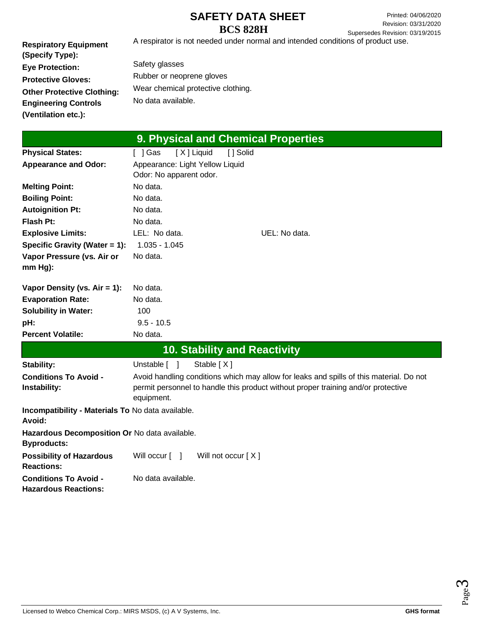**Respiratory Equipment (Specify Type): Eye Protection: Protective Gloves: Other Protective Clothing: Engineering Controls (Ventilation etc.):** A respirator is not needed under normal and intended conditions of product use. Safety glasses Rubber or neoprene gloves Wear chemical protective clothing. No data available.

| 9. Physical and Chemical Properties                                 |                                                                                         |  |  |  |
|---------------------------------------------------------------------|-----------------------------------------------------------------------------------------|--|--|--|
| <b>Physical States:</b>                                             | [X] Liquid<br>[ ] Solid<br>[ ] Gas                                                      |  |  |  |
| <b>Appearance and Odor:</b>                                         | Appearance: Light Yellow Liquid                                                         |  |  |  |
|                                                                     | Odor: No apparent odor.                                                                 |  |  |  |
| <b>Melting Point:</b>                                               | No data.                                                                                |  |  |  |
| <b>Boiling Point:</b>                                               | No data.                                                                                |  |  |  |
| <b>Autoignition Pt:</b>                                             | No data.                                                                                |  |  |  |
| Flash Pt:                                                           | No data.                                                                                |  |  |  |
| <b>Explosive Limits:</b>                                            | LEL: No data.<br>UEL: No data.                                                          |  |  |  |
| Specific Gravity (Water = 1):                                       | $1.035 - 1.045$                                                                         |  |  |  |
| Vapor Pressure (vs. Air or                                          | No data.                                                                                |  |  |  |
| $mm Hg$ ):                                                          |                                                                                         |  |  |  |
| Vapor Density (vs. $Air = 1$ ):                                     | No data.                                                                                |  |  |  |
| <b>Evaporation Rate:</b>                                            | No data.                                                                                |  |  |  |
| <b>Solubility in Water:</b>                                         | 100                                                                                     |  |  |  |
| pH:                                                                 | $9.5 - 10.5$                                                                            |  |  |  |
| <b>Percent Volatile:</b>                                            | No data.                                                                                |  |  |  |
|                                                                     | <b>10. Stability and Reactivity</b>                                                     |  |  |  |
| <b>Stability:</b>                                                   | Stable $[X]$<br>Unstable [ ]                                                            |  |  |  |
| <b>Conditions To Avoid -</b>                                        | Avoid handling conditions which may allow for leaks and spills of this material. Do not |  |  |  |
| Instability:                                                        | permit personnel to handle this product without proper training and/or protective       |  |  |  |
|                                                                     | equipment.                                                                              |  |  |  |
| Incompatibility - Materials To No data available.<br>Avoid:         |                                                                                         |  |  |  |
| Hazardous Decomposition Or No data available.<br><b>Byproducts:</b> |                                                                                         |  |  |  |
| <b>Possibility of Hazardous</b><br><b>Reactions:</b>                | Will not occur $[X]$<br>Will occur $\lceil \quad \rceil$                                |  |  |  |
| <b>Conditions To Avoid -</b><br><b>Hazardous Reactions:</b>         | No data available.                                                                      |  |  |  |